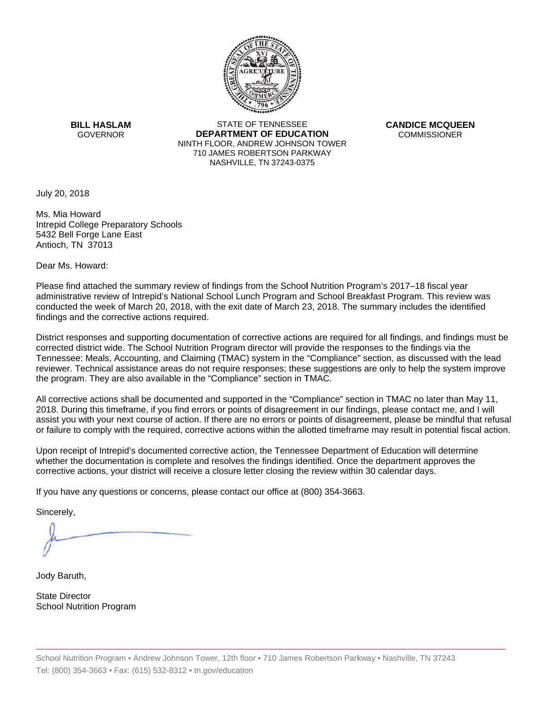

**BILL HASLAM** GOVERNOR **DEI** 

STATE OF TENNESSEE **EPARTMENT OF EDUCATION** NINTH FLOOR, ANDREW JOHNSON TOWER 710 JAMES ROBERTSON PARKWAY NASHVILLE,TN 37243-0375

**CANDICE MCQUEEN** CO OMMISSIONER

July 20, 2018

Ms. Mia Howard Intrepid College Preparatory Schools 5432 Bell Forge Lane East Antioch, TN 37013

Dear Ms. Howard:

Please find attached the summary review of findings from the School Nutrition Program's 2017–18 fiscal year administrative review of Intrepid's National School Lunch Program and School Breakfast Program. This review was conducted the week of March 20, 2018, with the exit date of March 23, 2018. The summary includes the identified findings and the corrective actions required.

Tennessee: Meals, Accounting, and Claiming (TMAC) system in the "Compliance" section, as discussed with the lead District responses and supporting documentation of corrective actions are required for all findings, and findings must be corrected district wide. The School Nutrition Program director will provide the responses to the findings via the reviewer. Technical assistance areas do not require responses; these suggestions are only to help the system improve the program. They are also available in the "Compliance" section in TMAC.

All corrective actions shall be documented and supported in the "Compliance" section in TMAC no later than May 11, 2018. During this timeframe, if you find errors or points of disagreement in our findings, please contact me, and I will assist you with your next course of action. If there are no errors or points of disagreement, please be mindful that refusal or failure to comply with the required, corrective actions within the allotted timeframe may result in potential fiscal action.

Upon receipt of Intrepid's documented corrective action, the Tennessee Department of Education will determine whether the documentation is complete and resolves the findings identified. Once the department approves the corrective actions, your district will receive a closure letter closing the review within 30 calendar days.

If you have any questions or concerns, please contact our office at (800) 354-3663.

Sincerely,

Jody Baruth,

State Director School Nutrition Program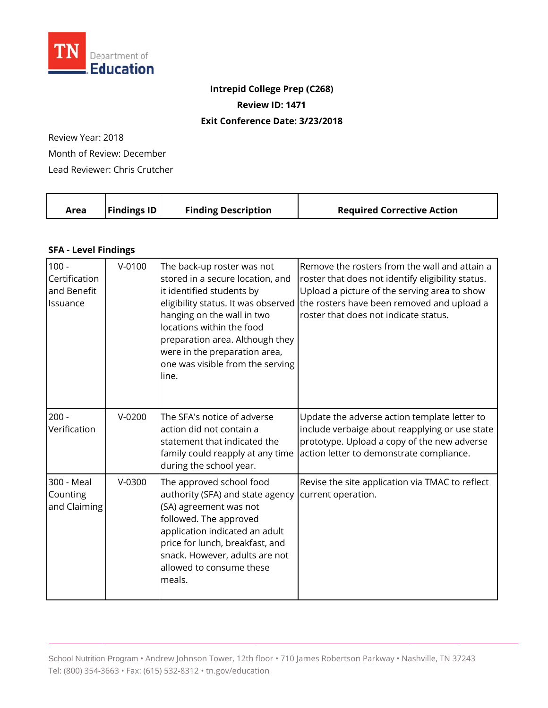

## **Intrepid College Prep (C268)**

**Review ID: 1471** 

## **Exit Conference Date: 3/23/2018**

Review Year: 2018

Month of Review: December

Lead Reviewer: Chris Crutcher

|  | Area | <b>Findings ID</b> | <b>Finding Description</b> | <b>Required Corrective Action</b> |
|--|------|--------------------|----------------------------|-----------------------------------|
|--|------|--------------------|----------------------------|-----------------------------------|

## **SFA - Level Findings**

| $100 -$<br>Certification<br>and Benefit<br>Issuance | $V - 0100$ | The back-up roster was not<br>stored in a secure location, and<br>it identified students by<br>eligibility status. It was observed<br>hanging on the wall in two<br>locations within the food<br>preparation area. Although they<br>were in the preparation area,<br>one was visible from the serving<br>line. | Remove the rosters from the wall and attain a<br>roster that does not identify eligibility status.<br>Upload a picture of the serving area to show<br>the rosters have been removed and upload a<br>roster that does not indicate status. |
|-----------------------------------------------------|------------|----------------------------------------------------------------------------------------------------------------------------------------------------------------------------------------------------------------------------------------------------------------------------------------------------------------|-------------------------------------------------------------------------------------------------------------------------------------------------------------------------------------------------------------------------------------------|
| $200 -$<br>Verification                             | $V-0200$   | The SFA's notice of adverse<br>action did not contain a<br>statement that indicated the<br>family could reapply at any time<br>during the school year.                                                                                                                                                         | Update the adverse action template letter to<br>include verbaige about reapplying or use state<br>prototype. Upload a copy of the new adverse<br>action letter to demonstrate compliance.                                                 |
| 300 - Meal<br>Counting<br>and Claiming              | $V-0300$   | The approved school food<br>authority (SFA) and state agency<br>(SA) agreement was not<br>followed. The approved<br>application indicated an adult<br>price for lunch, breakfast, and<br>snack. However, adults are not<br>allowed to consume these<br>meals.                                                  | Revise the site application via TMAC to reflect<br>current operation.                                                                                                                                                                     |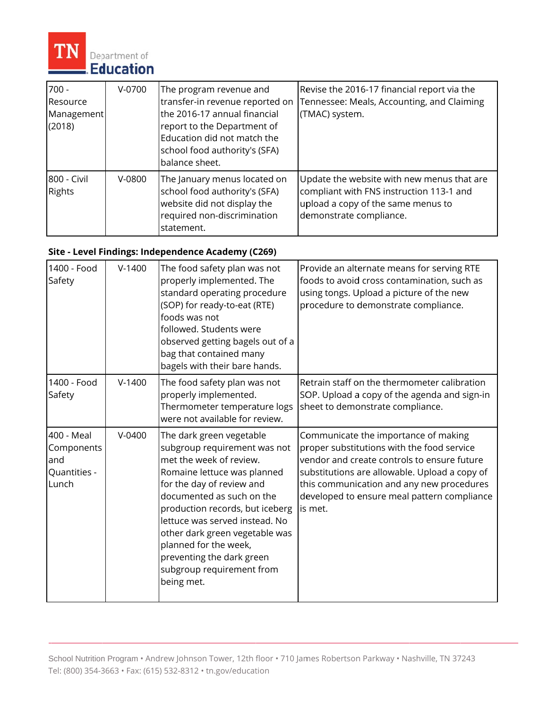

| $700 -$<br>Resource<br>Management<br>(2018) | V-0700   | The program revenue and<br>transfer-in revenue reported on<br>the 2016-17 annual financial<br>report to the Department of<br>Education did not match the<br>school food authority's (SFA)<br>balance sheet. | Revise the 2016-17 financial report via the<br>Tennessee: Meals, Accounting, and Claiming<br>(TMAC) system.                                             |
|---------------------------------------------|----------|-------------------------------------------------------------------------------------------------------------------------------------------------------------------------------------------------------------|---------------------------------------------------------------------------------------------------------------------------------------------------------|
| 800 - Civil<br><b>Rights</b>                | $V-0800$ | The January menus located on<br>school food authority's (SFA)<br>website did not display the<br>required non-discrimination<br>statement.                                                                   | Update the website with new menus that are<br>compliant with FNS instruction 113-1 and<br>upload a copy of the same menus to<br>demonstrate compliance. |

## Site - Level Findings: Independence Academy (C269)

| 1400 - Food<br>Safety                                    | $V-1400$ | The food safety plan was not<br>properly implemented. The<br>standard operating procedure<br>(SOP) for ready-to-eat (RTE)<br>foods was not<br>followed. Students were<br>observed getting bagels out of a<br>bag that contained many<br>bagels with their bare hands.                                                                                                                | Provide an alternate means for serving RTE<br>foods to avoid cross contamination, such as<br>using tongs. Upload a picture of the new<br>procedure to demonstrate compliance.                                                                                                             |
|----------------------------------------------------------|----------|--------------------------------------------------------------------------------------------------------------------------------------------------------------------------------------------------------------------------------------------------------------------------------------------------------------------------------------------------------------------------------------|-------------------------------------------------------------------------------------------------------------------------------------------------------------------------------------------------------------------------------------------------------------------------------------------|
| 1400 - Food<br>Safety                                    | $V-1400$ | The food safety plan was not<br>properly implemented.<br>Thermometer temperature logs<br>were not available for review.                                                                                                                                                                                                                                                              | Retrain staff on the thermometer calibration<br>SOP. Upload a copy of the agenda and sign-in<br>sheet to demonstrate compliance.                                                                                                                                                          |
| 400 - Meal<br>Components<br>and<br>Quantities -<br>Lunch | $V-0400$ | The dark green vegetable<br>subgroup requirement was not<br>met the week of review.<br>Romaine lettuce was planned<br>for the day of review and<br>documented as such on the<br>production records, but iceberg<br>lettuce was served instead. No<br>other dark green vegetable was<br>planned for the week,<br>preventing the dark green<br>subgroup requirement from<br>being met. | Communicate the importance of making<br>proper substitutions with the food service<br>vendor and create controls to ensure future<br>substitutions are allowable. Upload a copy of<br>this communication and any new procedures<br>developed to ensure meal pattern compliance<br>is met. |